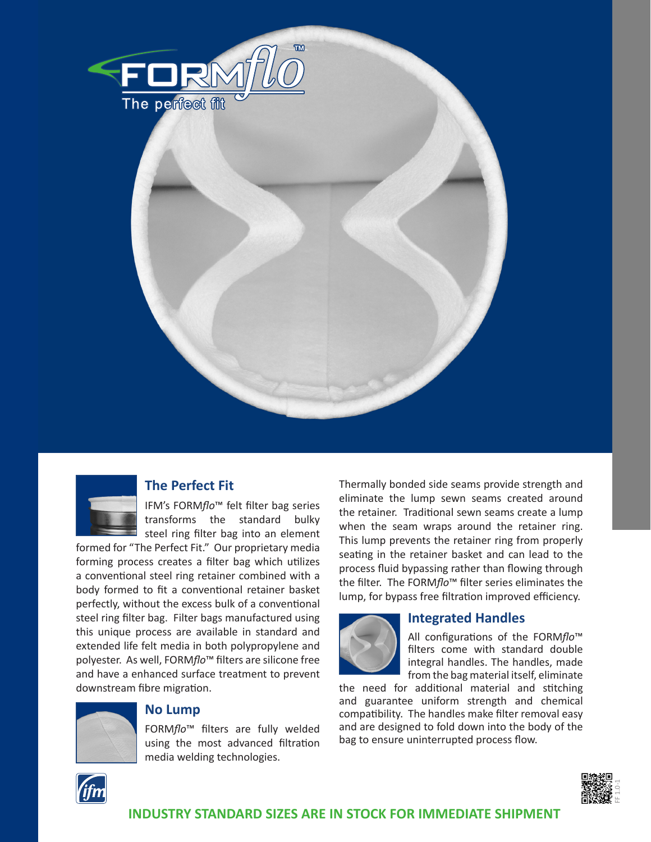



## **The Perfect Fit**

IFM's FORM*flo*™ felt filter bag series transforms the standard bulky steel ring filter bag into an element

formed for "The Perfect Fit." Our proprietary media forming process creates a filter bag which utilizes a conventional steel ring retainer combined with a body formed to fit a conventional retainer basket perfectly, without the excess bulk of a conventional steel ring filter bag. Filter bags manufactured using this unique process are available in standard and extended life felt media in both polypropylene and polyester. As well, FORM*flo*™ filters are silicone free and have a enhanced surface treatment to prevent downstream fibre migration.



## **No Lump**

FORM*flo*™ filters are fully welded using the most advanced filtration media welding technologies.

Thermally bonded side seams provide strength and eliminate the lump sewn seams created around the retainer. Traditional sewn seams create a lump when the seam wraps around the retainer ring. This lump prevents the retainer ring from properly seating in the retainer basket and can lead to the process fluid bypassing rather than flowing through the filter. The FORM*flo*™ filter series eliminates the lump, for bypass free filtration improved efficiency.



## **Integrated Handles**

All configurations of the FORM*flo*™ filters come with standard double integral handles. The handles, made from the bag material itself, eliminate

FF 1.0-1

the need for additional material and stitching and guarantee uniform strength and chemical compatibility. The handles make filter removal easy and are designed to fold down into the body of the bag to ensure uninterrupted process flow.